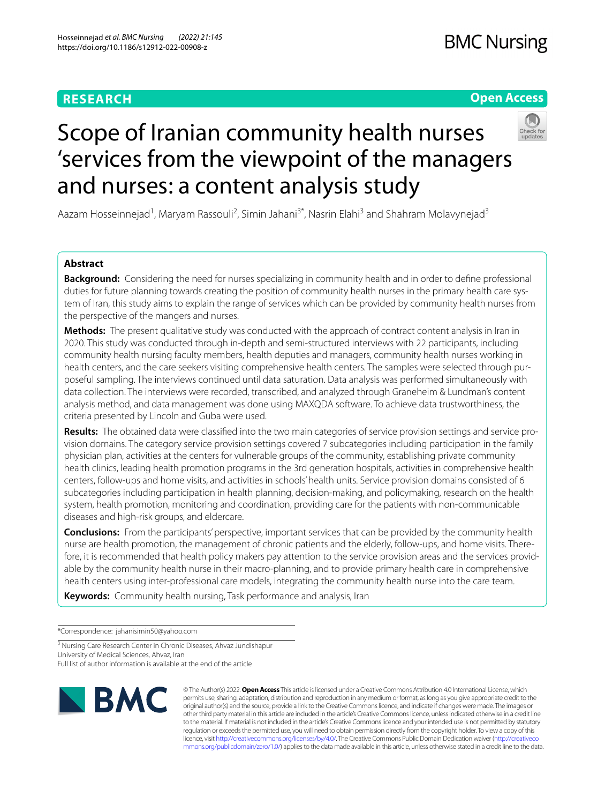# **RESEARCH**

# **Open Access**



# Scope of Iranian community health nurses 'services from the viewpoint of the managers and nurses: a content analysis study

Aazam Hosseinnejad<sup>1</sup>, Maryam Rassouli<sup>2</sup>, Simin Jahani<sup>3\*</sup>, Nasrin Elahi<sup>3</sup> and Shahram Molavynejad<sup>3</sup>

# **Abstract**

**Background:** Considering the need for nurses specializing in community health and in order to defne professional duties for future planning towards creating the position of community health nurses in the primary health care system of Iran, this study aims to explain the range of services which can be provided by community health nurses from the perspective of the mangers and nurses.

**Methods:** The present qualitative study was conducted with the approach of contract content analysis in Iran in 2020. This study was conducted through in-depth and semi-structured interviews with 22 participants, including community health nursing faculty members, health deputies and managers, community health nurses working in health centers, and the care seekers visiting comprehensive health centers. The samples were selected through purposeful sampling. The interviews continued until data saturation. Data analysis was performed simultaneously with data collection. The interviews were recorded, transcribed, and analyzed through Graneheim & Lundman's content analysis method, and data management was done using MAXQDA software. To achieve data trustworthiness, the criteria presented by Lincoln and Guba were used.

**Results:** The obtained data were classifed into the two main categories of service provision settings and service provision domains. The category service provision settings covered 7 subcategories including participation in the family physician plan, activities at the centers for vulnerable groups of the community, establishing private community health clinics, leading health promotion programs in the 3rd generation hospitals, activities in comprehensive health centers, follow-ups and home visits, and activities in schools' health units. Service provision domains consisted of 6 subcategories including participation in health planning, decision-making, and policymaking, research on the health system, health promotion, monitoring and coordination, providing care for the patients with non-communicable diseases and high-risk groups, and eldercare.

**Conclusions:** From the participants' perspective, important services that can be provided by the community health nurse are health promotion, the management of chronic patients and the elderly, follow-ups, and home visits. Therefore, it is recommended that health policy makers pay attention to the service provision areas and the services providable by the community health nurse in their macro-planning, and to provide primary health care in comprehensive health centers using inter-professional care models, integrating the community health nurse into the care team.

**Keywords:** Community health nursing, Task performance and analysis, Iran

\*Correspondence: jahanisimin50@yahoo.com

<sup>3</sup> Nursing Care Research Center in Chronic Diseases, Ahvaz Jundishapur University of Medical Sciences, Ahvaz, Iran

Full list of author information is available at the end of the article



© The Author(s) 2022. **Open Access** This article is licensed under a Creative Commons Attribution 4.0 International License, which permits use, sharing, adaptation, distribution and reproduction in any medium or format, as long as you give appropriate credit to the original author(s) and the source, provide a link to the Creative Commons licence, and indicate if changes were made. The images or other third party material in this article are included in the article's Creative Commons licence, unless indicated otherwise in a credit line to the material. If material is not included in the article's Creative Commons licence and your intended use is not permitted by statutory regulation or exceeds the permitted use, you will need to obtain permission directly from the copyright holder. To view a copy of this licence, visit [http://creativecommons.org/licenses/by/4.0/.](http://creativecommons.org/licenses/by/4.0/) The Creative Commons Public Domain Dedication waiver ([http://creativeco](http://creativecommons.org/publicdomain/zero/1.0/) [mmons.org/publicdomain/zero/1.0/](http://creativecommons.org/publicdomain/zero/1.0/)) applies to the data made available in this article, unless otherwise stated in a credit line to the data.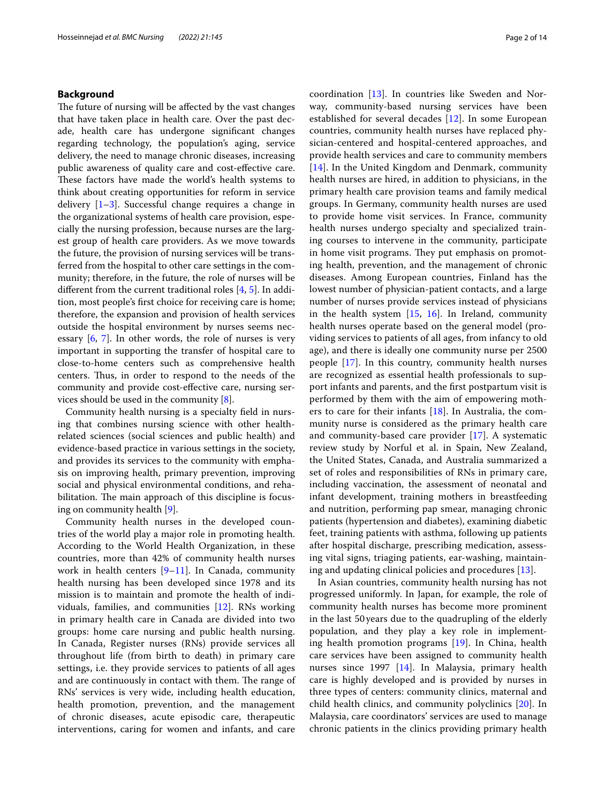### **Background**

The future of nursing will be affected by the vast changes that have taken place in health care. Over the past decade, health care has undergone signifcant changes regarding technology, the population's aging, service delivery, the need to manage chronic diseases, increasing public awareness of quality care and cost-efective care. These factors have made the world's health systems to think about creating opportunities for reform in service delivery [[1–](#page-12-0)[3\]](#page-12-1). Successful change requires a change in the organizational systems of health care provision, especially the nursing profession, because nurses are the largest group of health care providers. As we move towards the future, the provision of nursing services will be transferred from the hospital to other care settings in the community; therefore, in the future, the role of nurses will be diferent from the current traditional roles [[4,](#page-12-2) [5](#page-12-3)]. In addition, most people's frst choice for receiving care is home; therefore, the expansion and provision of health services outside the hospital environment by nurses seems necessary [[6,](#page-12-4) [7\]](#page-12-5). In other words, the role of nurses is very important in supporting the transfer of hospital care to close-to-home centers such as comprehensive health centers. Thus, in order to respond to the needs of the community and provide cost-efective care, nursing services should be used in the community [\[8](#page-12-6)].

Community health nursing is a specialty feld in nursing that combines nursing science with other healthrelated sciences (social sciences and public health) and evidence-based practice in various settings in the society, and provides its services to the community with emphasis on improving health, primary prevention, improving social and physical environmental conditions, and rehabilitation. The main approach of this discipline is focusing on community health [\[9\]](#page-12-7).

Community health nurses in the developed countries of the world play a major role in promoting health. According to the World Health Organization, in these countries, more than 42% of community health nurses work in health centers  $[9-11]$  $[9-11]$ . In Canada, community health nursing has been developed since 1978 and its mission is to maintain and promote the health of individuals, families, and communities [\[12](#page-12-9)]. RNs working in primary health care in Canada are divided into two groups: home care nursing and public health nursing. In Canada, Register nurses (RNs) provide services all throughout life (from birth to death) in primary care settings, i.e. they provide services to patients of all ages and are continuously in contact with them. The range of RNs' services is very wide, including health education, health promotion, prevention, and the management of chronic diseases, acute episodic care, therapeutic interventions, caring for women and infants, and care coordination [[13\]](#page-12-10). In countries like Sweden and Norway, community-based nursing services have been established for several decades [[12\]](#page-12-9). In some European countries, community health nurses have replaced physician-centered and hospital-centered approaches, and provide health services and care to community members [[14\]](#page-12-11). In the United Kingdom and Denmark, community health nurses are hired, in addition to physicians, in the primary health care provision teams and family medical groups. In Germany, community health nurses are used to provide home visit services. In France, community health nurses undergo specialty and specialized training courses to intervene in the community, participate in home visit programs. They put emphasis on promoting health, prevention, and the management of chronic diseases. Among European countries, Finland has the lowest number of physician-patient contacts, and a large number of nurses provide services instead of physicians in the health system [\[15](#page-12-12), [16](#page-12-13)]. In Ireland, community health nurses operate based on the general model (providing services to patients of all ages, from infancy to old age), and there is ideally one community nurse per 2500 people [[17\]](#page-12-14). In this country, community health nurses are recognized as essential health professionals to support infants and parents, and the frst postpartum visit is performed by them with the aim of empowering mothers to care for their infants [\[18](#page-12-15)]. In Australia, the community nurse is considered as the primary health care and community-based care provider [[17](#page-12-14)]. A systematic review study by Norful et al. in Spain, New Zealand, the United States, Canada, and Australia summarized a set of roles and responsibilities of RNs in primary care, including vaccination, the assessment of neonatal and infant development, training mothers in breastfeeding and nutrition, performing pap smear, managing chronic patients (hypertension and diabetes), examining diabetic feet, training patients with asthma, following up patients after hospital discharge, prescribing medication, assessing vital signs, triaging patients, ear-washing, maintaining and updating clinical policies and procedures [\[13](#page-12-10)].

In Asian countries, community health nursing has not progressed uniformly. In Japan, for example, the role of community health nurses has become more prominent in the last 50 years due to the quadrupling of the elderly population, and they play a key role in implementing health promotion programs [\[19\]](#page-12-16). In China, health care services have been assigned to community health nurses since 1997 [\[14](#page-12-11)]. In Malaysia, primary health care is highly developed and is provided by nurses in three types of centers: community clinics, maternal and child health clinics, and community polyclinics [[20\]](#page-12-17). In Malaysia, care coordinators' services are used to manage chronic patients in the clinics providing primary health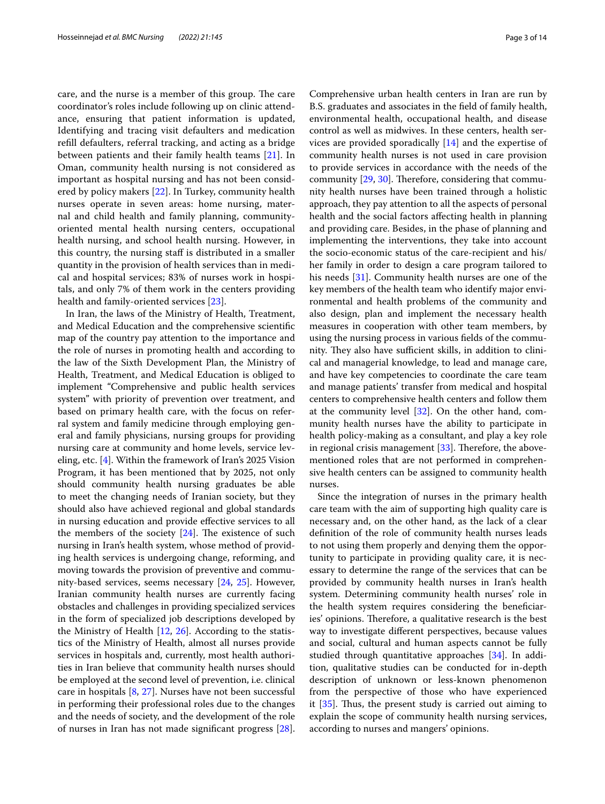care, and the nurse is a member of this group. The care coordinator's roles include following up on clinic attendance, ensuring that patient information is updated, Identifying and tracing visit defaulters and medication refll defaulters, referral tracking, and acting as a bridge between patients and their family health teams [[21\]](#page-12-18). In Oman, community health nursing is not considered as important as hospital nursing and has not been considered by policy makers [[22\]](#page-12-19). In Turkey, community health nurses operate in seven areas: home nursing, maternal and child health and family planning, communityoriented mental health nursing centers, occupational health nursing, and school health nursing. However, in this country, the nursing staf is distributed in a smaller quantity in the provision of health services than in medical and hospital services; 83% of nurses work in hospitals, and only 7% of them work in the centers providing health and family-oriented services [[23](#page-12-20)].

In Iran, the laws of the Ministry of Health, Treatment, and Medical Education and the comprehensive scientifc map of the country pay attention to the importance and the role of nurses in promoting health and according to the law of the Sixth Development Plan, the Ministry of Health, Treatment, and Medical Education is obliged to implement "Comprehensive and public health services system" with priority of prevention over treatment, and based on primary health care, with the focus on referral system and family medicine through employing general and family physicians, nursing groups for providing nursing care at community and home levels, service leveling, etc. [\[4](#page-12-2)]. Within the framework of Iran's 2025 Vision Program, it has been mentioned that by 2025, not only should community health nursing graduates be able to meet the changing needs of Iranian society, but they should also have achieved regional and global standards in nursing education and provide efective services to all the members of the society  $[24]$  $[24]$ . The existence of such nursing in Iran's health system, whose method of providing health services is undergoing change, reforming, and moving towards the provision of preventive and community-based services, seems necessary [\[24](#page-12-21), [25\]](#page-12-22). However, Iranian community health nurses are currently facing obstacles and challenges in providing specialized services in the form of specialized job descriptions developed by the Ministry of Health [[12](#page-12-9), [26\]](#page-12-23). According to the statistics of the Ministry of Health, almost all nurses provide services in hospitals and, currently, most health authorities in Iran believe that community health nurses should be employed at the second level of prevention, i.e. clinical care in hospitals [[8,](#page-12-6) [27\]](#page-12-24). Nurses have not been successful in performing their professional roles due to the changes and the needs of society, and the development of the role of nurses in Iran has not made signifcant progress [\[28](#page-12-25)].

Comprehensive urban health centers in Iran are run by B.S. graduates and associates in the feld of family health, environmental health, occupational health, and disease control as well as midwives. In these centers, health services are provided sporadically [\[14\]](#page-12-11) and the expertise of community health nurses is not used in care provision to provide services in accordance with the needs of the community  $[29, 30]$  $[29, 30]$  $[29, 30]$  $[29, 30]$  $[29, 30]$ . Therefore, considering that community health nurses have been trained through a holistic approach, they pay attention to all the aspects of personal health and the social factors afecting health in planning and providing care. Besides, in the phase of planning and implementing the interventions, they take into account the socio-economic status of the care-recipient and his/ her family in order to design a care program tailored to his needs [\[31\]](#page-13-0). Community health nurses are one of the key members of the health team who identify major environmental and health problems of the community and also design, plan and implement the necessary health measures in cooperation with other team members, by using the nursing process in various felds of the community. They also have sufficient skills, in addition to clinical and managerial knowledge, to lead and manage care, and have key competencies to coordinate the care team and manage patients' transfer from medical and hospital centers to comprehensive health centers and follow them at the community level [[32](#page-13-1)]. On the other hand, community health nurses have the ability to participate in health policy-making as a consultant, and play a key role in regional crisis management  $[33]$  $[33]$ . Therefore, the abovementioned roles that are not performed in comprehensive health centers can be assigned to community health nurses.

Since the integration of nurses in the primary health care team with the aim of supporting high quality care is necessary and, on the other hand, as the lack of a clear defnition of the role of community health nurses leads to not using them properly and denying them the opportunity to participate in providing quality care, it is necessary to determine the range of the services that can be provided by community health nurses in Iran's health system. Determining community health nurses' role in the health system requires considering the benefciaries' opinions. Therefore, a qualitative research is the best way to investigate diferent perspectives, because values and social, cultural and human aspects cannot be fully studied through quantitative approaches [\[34](#page-13-3)]. In addition, qualitative studies can be conducted for in-depth description of unknown or less-known phenomenon from the perspective of those who have experienced it  $[35]$  $[35]$ . Thus, the present study is carried out aiming to explain the scope of community health nursing services, according to nurses and mangers' opinions.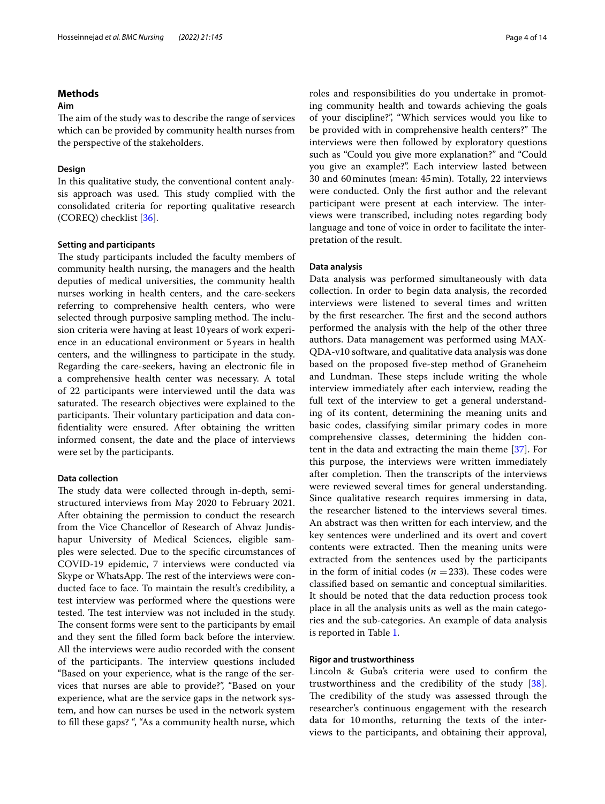# **Methods**

### **Aim**

The aim of the study was to describe the range of services which can be provided by community health nurses from the perspective of the stakeholders.

#### **Design**

In this qualitative study, the conventional content analysis approach was used. This study complied with the consolidated criteria for reporting qualitative research (COREQ) checklist [[36\]](#page-13-5).

## **Setting and participants**

The study participants included the faculty members of community health nursing, the managers and the health deputies of medical universities, the community health nurses working in health centers, and the care-seekers referring to comprehensive health centers, who were selected through purposive sampling method. The inclusion criteria were having at least 10years of work experience in an educational environment or 5years in health centers, and the willingness to participate in the study. Regarding the care-seekers, having an electronic fle in a comprehensive health center was necessary. A total of 22 participants were interviewed until the data was saturated. The research objectives were explained to the participants. Their voluntary participation and data confdentiality were ensured. After obtaining the written informed consent, the date and the place of interviews were set by the participants.

### **Data collection**

The study data were collected through in-depth, semistructured interviews from May 2020 to February 2021. After obtaining the permission to conduct the research from the Vice Chancellor of Research of Ahvaz Jundishapur University of Medical Sciences, eligible samples were selected. Due to the specifc circumstances of COVID-19 epidemic, 7 interviews were conducted via Skype or WhatsApp. The rest of the interviews were conducted face to face. To maintain the result's credibility, a test interview was performed where the questions were tested. The test interview was not included in the study. The consent forms were sent to the participants by email and they sent the flled form back before the interview. All the interviews were audio recorded with the consent of the participants. The interview questions included "Based on your experience, what is the range of the services that nurses are able to provide?", "Based on your experience, what are the service gaps in the network system, and how can nurses be used in the network system to fll these gaps? ", "As a community health nurse, which roles and responsibilities do you undertake in promoting community health and towards achieving the goals of your discipline?", "Which services would you like to be provided with in comprehensive health centers?" The interviews were then followed by exploratory questions such as "Could you give more explanation?" and "Could you give an example?". Each interview lasted between 30 and 60minutes (mean: 45min). Totally, 22 interviews were conducted. Only the frst author and the relevant participant were present at each interview. The interviews were transcribed, including notes regarding body language and tone of voice in order to facilitate the interpretation of the result.

#### **Data analysis**

Data analysis was performed simultaneously with data collection. In order to begin data analysis, the recorded interviews were listened to several times and written by the first researcher. The first and the second authors performed the analysis with the help of the other three authors. Data management was performed using MAX-QDA-v10 software, and qualitative data analysis was done based on the proposed fve-step method of Graneheim and Lundman. These steps include writing the whole interview immediately after each interview, reading the full text of the interview to get a general understanding of its content, determining the meaning units and basic codes, classifying similar primary codes in more comprehensive classes, determining the hidden content in the data and extracting the main theme [\[37](#page-13-6)]. For this purpose, the interviews were written immediately after completion. Then the transcripts of the interviews were reviewed several times for general understanding. Since qualitative research requires immersing in data, the researcher listened to the interviews several times. An abstract was then written for each interview, and the key sentences were underlined and its overt and covert contents were extracted. Then the meaning units were extracted from the sentences used by the participants in the form of initial codes  $(n = 233)$ . These codes were classifed based on semantic and conceptual similarities. It should be noted that the data reduction process took place in all the analysis units as well as the main categories and the sub-categories. An example of data analysis is reported in Table [1](#page-4-0).

### **Rigor and trustworthiness**

Lincoln & Guba's criteria were used to confrm the trustworthiness and the credibility of the study [\[38](#page-13-7)]. The credibility of the study was assessed through the researcher's continuous engagement with the research data for 10months, returning the texts of the interviews to the participants, and obtaining their approval,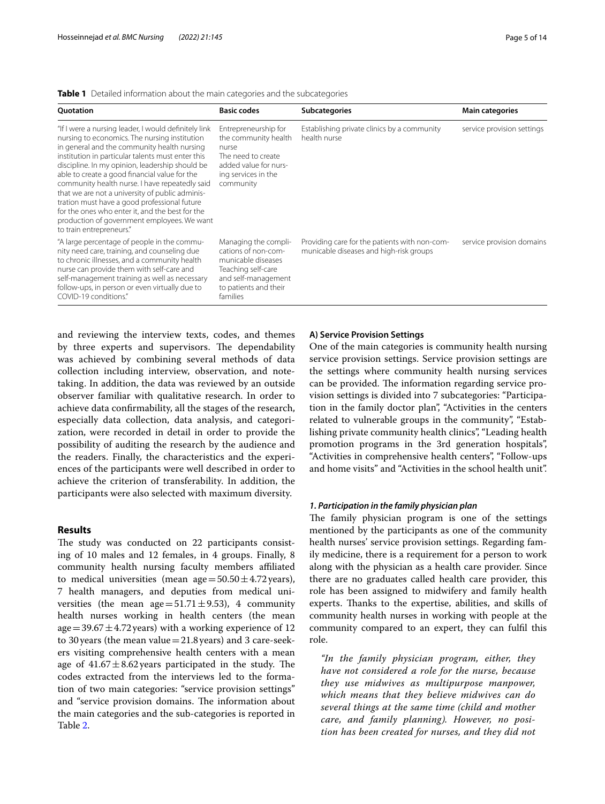| <b>Ouotation</b>                                                                                                                                                                                                                                                                                                                                                                                                                                                                                                                                                                                 | <b>Basic codes</b>                                                                                                                                  | <b>Subcategories</b>                                                                     | <b>Main categories</b>     |
|--------------------------------------------------------------------------------------------------------------------------------------------------------------------------------------------------------------------------------------------------------------------------------------------------------------------------------------------------------------------------------------------------------------------------------------------------------------------------------------------------------------------------------------------------------------------------------------------------|-----------------------------------------------------------------------------------------------------------------------------------------------------|------------------------------------------------------------------------------------------|----------------------------|
| "If I were a nursing leader, I would definitely link<br>nursing to economics. The nursing institution<br>in general and the community health nursing<br>institution in particular talents must enter this<br>discipline. In my opinion, leadership should be<br>able to create a good financial value for the<br>community health nurse. I have repeatedly said<br>that we are not a university of public adminis-<br>tration must have a good professional future<br>for the ones who enter it, and the best for the<br>production of government employees. We want<br>to train entrepreneurs." | Entrepreneurship for<br>the community health<br>nurse<br>The need to create<br>added value for nurs-<br>ing services in the<br>community            | Establishing private clinics by a community<br>health nurse                              | service provision settings |
| "A large percentage of people in the commu-<br>nity need care, training, and counseling due<br>to chronic illnesses, and a community health<br>nurse can provide them with self-care and<br>self-management training as well as necessary<br>follow-ups, in person or even virtually due to<br>COVID-19 conditions."                                                                                                                                                                                                                                                                             | Managing the compli-<br>cations of non-com-<br>municable diseases<br>Teaching self-care<br>and self-management<br>to patients and their<br>families | Providing care for the patients with non-com-<br>municable diseases and high-risk groups | service provision domains  |

<span id="page-4-0"></span>**Table 1** Detailed information about the main categories and the subcategories

and reviewing the interview texts, codes, and themes by three experts and supervisors. The dependability was achieved by combining several methods of data collection including interview, observation, and notetaking. In addition, the data was reviewed by an outside observer familiar with qualitative research. In order to achieve data confrmability, all the stages of the research, especially data collection, data analysis, and categorization, were recorded in detail in order to provide the possibility of auditing the research by the audience and the readers. Finally, the characteristics and the experiences of the participants were well described in order to achieve the criterion of transferability. In addition, the participants were also selected with maximum diversity.

### **Results**

The study was conducted on 22 participants consisting of 10 males and 12 females, in 4 groups. Finally, 8 community health nursing faculty members afliated to medical universities (mean age =  $50.50 \pm 4.72$  years), 7 health managers, and deputies from medical universities (the mean age= $51.71 \pm 9.53$ ), 4 community health nurses working in health centers (the mean age =  $39.67 \pm 4.72$  years) with a working experience of 12 to 30years (the mean value=21.8years) and 3 care-seekers visiting comprehensive health centers with a mean age of  $41.67 \pm 8.62$  years participated in the study. The codes extracted from the interviews led to the formation of two main categories: "service provision settings" and "service provision domains. The information about the main categories and the sub-categories is reported in Table [2](#page-5-0).

#### **A) Service Provision Settings**

One of the main categories is community health nursing service provision settings. Service provision settings are the settings where community health nursing services can be provided. The information regarding service provision settings is divided into 7 subcategories: "Participation in the family doctor plan", "Activities in the centers related to vulnerable groups in the community", "Establishing private community health clinics", "Leading health promotion programs in the 3rd generation hospitals", "Activities in comprehensive health centers", "Follow-ups and home visits" and "Activities in the school health unit".

#### *1. Participation in the family physician plan*

The family physician program is one of the settings mentioned by the participants as one of the community health nurses' service provision settings. Regarding family medicine, there is a requirement for a person to work along with the physician as a health care provider. Since there are no graduates called health care provider, this role has been assigned to midwifery and family health experts. Thanks to the expertise, abilities, and skills of community health nurses in working with people at the community compared to an expert, they can fulfl this role.

*"In the family physician program, either, they have not considered a role for the nurse, because they use midwives as multipurpose manpower, which means that they believe midwives can do several things at the same time (child and mother care, and family planning). However, no position has been created for nurses, and they did not*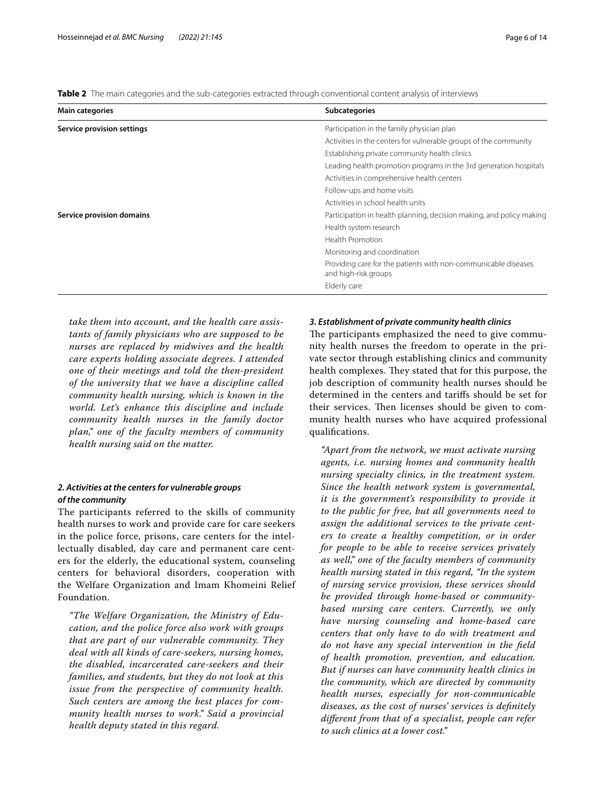<span id="page-5-0"></span>**Table 2** The main categories and the sub-categories extracted through conventional content analysis of interviews

| <b>Main categories</b>     | <b>Subcategories</b>                                                                   |
|----------------------------|----------------------------------------------------------------------------------------|
| Service provision settings | Participation in the family physician plan                                             |
|                            | Activities in the centers for vulnerable groups of the community                       |
|                            | Establishing private community health clinics                                          |
|                            | Leading health promotion programs in the 3rd generation hospitals                      |
|                            | Activities in comprehensive health centers                                             |
|                            | Follow-ups and home visits                                                             |
|                            | Activities in school health units                                                      |
| Service provision domains  | Participation in health planning, decision making, and policy making                   |
|                            | Health system research                                                                 |
|                            | Health Promotion                                                                       |
|                            | Monitoring and coordination                                                            |
|                            | Providing care for the patients with non-communicable diseases<br>and high-risk groups |
|                            | Elderly care                                                                           |

*take them into account, and the health care assistants of family physicians who are supposed to be nurses are replaced by midwives and the health care experts holding associate degrees. I attended one of their meetings and told the then-president of the university that we have a discipline called community health nursing, which is known in the world. Let's enhance this discipline and include community health nurses in the family doctor plan," one of the faculty members of community health nursing said on the matter.*

# *2. Activities at the centers for vulnerable groups of the community*

The participants referred to the skills of community health nurses to work and provide care for care seekers in the police force, prisons, care centers for the intellectually disabled, day care and permanent care centers for the elderly, the educational system, counseling centers for behavioral disorders, cooperation with the Welfare Organization and Imam Khomeini Relief Foundation.

*"The Welfare Organization, the Ministry of Education, and the police force also work with groups that are part of our vulnerable community. They deal with all kinds of care-seekers, nursing homes, the disabled, incarcerated care-seekers and their families, and students, but they do not look at this issue from the perspective of community health. Such centers are among the best places for community health nurses to work." Said a provincial health deputy stated in this regard.*

# *3. Establishment of private community health clinics*

The participants emphasized the need to give community health nurses the freedom to operate in the private sector through establishing clinics and community health complexes. They stated that for this purpose, the job description of community health nurses should be determined in the centers and tarifs should be set for their services. Then licenses should be given to community health nurses who have acquired professional qualifcations.

*"Apart from the network, we must activate nursing agents, i.e. nursing homes and community health nursing specialty clinics, in the treatment system. Since the health network system is governmental, it is the government's responsibility to provide it to the public for free, but all governments need to assign the additional services to the private centers to create a healthy competition, or in order for people to be able to receive services privately as well," one of the faculty members of community health nursing stated in this regard, "In the system of nursing service provision, these services should be provided through home-based or communitybased nursing care centers. Currently, we only have nursing counseling and home-based care centers that only have to do with treatment and do not have any special intervention in the feld of health promotion, prevention, and education. But if nurses can have community health clinics in the community, which are directed by community health nurses, especially for non-communicable diseases, as the cost of nurses' services is defnitely diferent from that of a specialist, people can refer to such clinics at a lower cost."*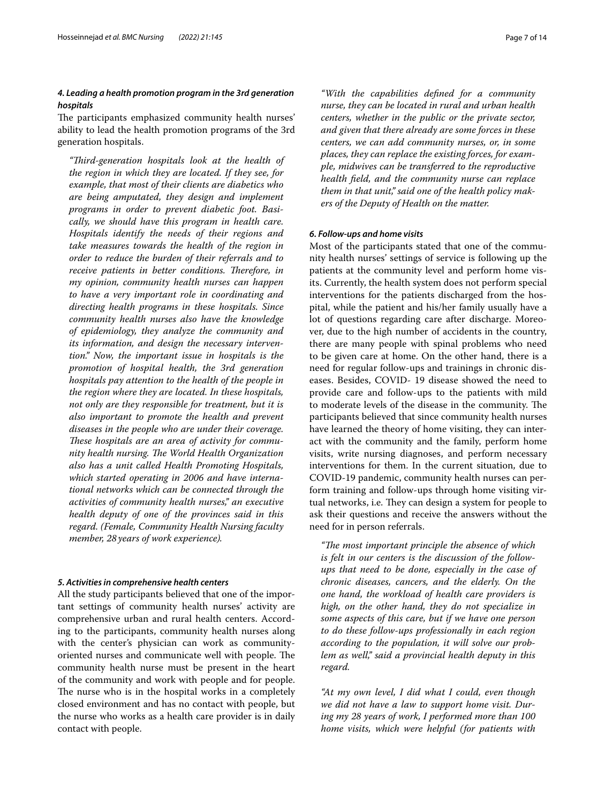# *4. Leading a health promotion program in the 3rd generation hospitals*

The participants emphasized community health nurses' ability to lead the health promotion programs of the 3rd generation hospitals.

*"Tird-generation hospitals look at the health of the region in which they are located. If they see, for example, that most of their clients are diabetics who are being amputated, they design and implement programs in order to prevent diabetic foot. Basically, we should have this program in health care. Hospitals identify the needs of their regions and take measures towards the health of the region in order to reduce the burden of their referrals and to receive patients in better conditions. Therefore, in my opinion, community health nurses can happen to have a very important role in coordinating and directing health programs in these hospitals. Since community health nurses also have the knowledge of epidemiology, they analyze the community and its information, and design the necessary intervention." Now, the important issue in hospitals is the promotion of hospital health, the 3rd generation hospitals pay attention to the health of the people in the region where they are located. In these hospitals, not only are they responsible for treatment, but it is also important to promote the health and prevent diseases in the people who are under their coverage. These hospitals are an area of activity for community health nursing. The World Health Organization also has a unit called Health Promoting Hospitals, which started operating in 2006 and have international networks which can be connected through the activities of community health nurses," an executive health deputy of one of the provinces said in this regard. (Female, Community Health Nursing faculty member, 28years of work experience).*

### *5. Activities in comprehensive health centers*

All the study participants believed that one of the important settings of community health nurses' activity are comprehensive urban and rural health centers. According to the participants, community health nurses along with the center's physician can work as communityoriented nurses and communicate well with people. The community health nurse must be present in the heart of the community and work with people and for people. The nurse who is in the hospital works in a completely closed environment and has no contact with people, but the nurse who works as a health care provider is in daily contact with people.

*"With the capabilities defned for a community nurse, they can be located in rural and urban health centers, whether in the public or the private sector, and given that there already are some forces in these centers, we can add community nurses, or, in some places, they can replace the existing forces, for example, midwives can be transferred to the reproductive health feld, and the community nurse can replace them in that unit," said one of the health policy makers of the Deputy of Health on the matter.*

# *6. Follow‑ups and home visits*

Most of the participants stated that one of the community health nurses' settings of service is following up the patients at the community level and perform home visits. Currently, the health system does not perform special interventions for the patients discharged from the hospital, while the patient and his/her family usually have a lot of questions regarding care after discharge. Moreover, due to the high number of accidents in the country, there are many people with spinal problems who need to be given care at home. On the other hand, there is a need for regular follow-ups and trainings in chronic diseases. Besides, COVID- 19 disease showed the need to provide care and follow-ups to the patients with mild to moderate levels of the disease in the community. The participants believed that since community health nurses have learned the theory of home visiting, they can interact with the community and the family, perform home visits, write nursing diagnoses, and perform necessary interventions for them. In the current situation, due to COVID-19 pandemic, community health nurses can perform training and follow-ups through home visiting virtual networks, i.e. They can design a system for people to ask their questions and receive the answers without the need for in person referrals.

*"The most important principle the absence of which is felt in our centers is the discussion of the followups that need to be done, especially in the case of chronic diseases, cancers, and the elderly. On the one hand, the workload of health care providers is high, on the other hand, they do not specialize in some aspects of this care, but if we have one person to do these follow-ups professionally in each region according to the population, it will solve our problem as well," said a provincial health deputy in this regard.*

*"At my own level, I did what I could, even though we did not have a law to support home visit. During my 28 years of work, I performed more than 100 home visits, which were helpful (for patients with*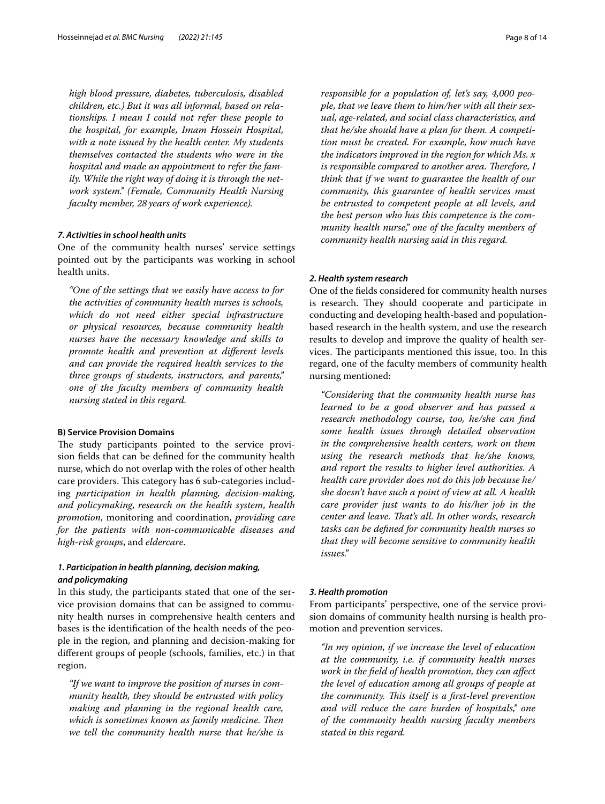*high blood pressure, diabetes, tuberculosis, disabled children, etc.) But it was all informal, based on relationships. I mean I could not refer these people to the hospital, for example, Imam Hossein Hospital, with a note issued by the health center. My students themselves contacted the students who were in the hospital and made an appointment to refer the family. While the right way of doing it is through the network system." (Female, Community Health Nursing faculty member, 28years of work experience).*

#### *7. Activities in school health units*

One of the community health nurses' service settings pointed out by the participants was working in school health units.

*"One of the settings that we easily have access to for the activities of community health nurses is schools, which do not need either special infrastructure or physical resources, because community health nurses have the necessary knowledge and skills to promote health and prevention at diferent levels and can provide the required health services to the three groups of students, instructors, and parents," one of the faculty members of community health nursing stated in this regard.*

#### **B) Service Provision Domains**

The study participants pointed to the service provision felds that can be defned for the community health nurse, which do not overlap with the roles of other health care providers. This category has 6 sub-categories including *participation in health planning, decision-making, and policymaking*, *research on the health system*, *health promotion*, monitoring and coordination, *providing care for the patients with non-communicable diseases and high-risk groups*, and *eldercare*.

# *1. Participation in health planning, decision making, and policymaking*

In this study, the participants stated that one of the service provision domains that can be assigned to community health nurses in comprehensive health centers and bases is the identifcation of the health needs of the people in the region, and planning and decision-making for diferent groups of people (schools, families, etc.) in that region.

*"If we want to improve the position of nurses in community health, they should be entrusted with policy making and planning in the regional health care, which is sometimes known as family medicine. Then we tell the community health nurse that he/she is* 

*responsible for a population of, let's say, 4,000 people, that we leave them to him/her with all their sexual, age-related, and social class characteristics, and that he/she should have a plan for them. A competition must be created. For example, how much have the indicators improved in the region for which Ms. x is responsible compared to another area. Therefore, I think that if we want to guarantee the health of our community, this guarantee of health services must be entrusted to competent people at all levels, and the best person who has this competence is the community health nurse," one of the faculty members of community health nursing said in this regard.*

## *2. Health system research*

One of the felds considered for community health nurses is research. They should cooperate and participate in conducting and developing health-based and populationbased research in the health system, and use the research results to develop and improve the quality of health services. The participants mentioned this issue, too. In this regard, one of the faculty members of community health nursing mentioned:

*"Considering that the community health nurse has learned to be a good observer and has passed a research methodology course, too, he/she can fnd some health issues through detailed observation in the comprehensive health centers, work on them using the research methods that he/she knows, and report the results to higher level authorities. A health care provider does not do this job because he/ she doesn't have such a point of view at all. A health care provider just wants to do his/her job in the center and leave. That's all. In other words, research tasks can be defned for community health nurses so that they will become sensitive to community health issues."*

## *3. Health promotion*

From participants' perspective, one of the service provision domains of community health nursing is health promotion and prevention services.

*"In my opinion, if we increase the level of education at the community, i.e. if community health nurses work in the feld of health promotion, they can afect the level of education among all groups of people at the community. This itself is a first-level prevention and will reduce the care burden of hospitals," one of the community health nursing faculty members stated in this regard.*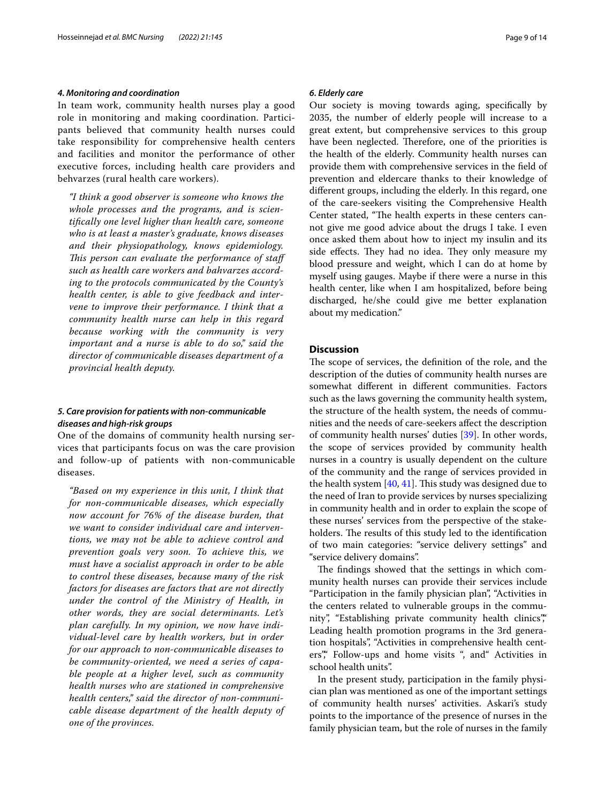#### *4. Monitoring and coordination*

In team work, community health nurses play a good role in monitoring and making coordination. Participants believed that community health nurses could take responsibility for comprehensive health centers and facilities and monitor the performance of other executive forces, including health care providers and behvarzes (rural health care workers).

*"I think a good observer is someone who knows the whole processes and the programs, and is scientifcally one level higher than health care, someone who is at least a master's graduate, knows diseases and their physiopathology, knows epidemiology. This person can evaluate the performance of staff such as health care workers and bahvarzes according to the protocols communicated by the County's health center, is able to give feedback and intervene to improve their performance. I think that a community health nurse can help in this regard because working with the community is very important and a nurse is able to do so," said the director of communicable diseases department of a provincial health deputy.*

# *5. Care provision for patients with non‑communicable diseases and high‑risk groups*

One of the domains of community health nursing services that participants focus on was the care provision and follow-up of patients with non-communicable diseases.

*"Based on my experience in this unit, I think that for non-communicable diseases, which especially now account for 76% of the disease burden, that we want to consider individual care and interventions, we may not be able to achieve control and prevention goals very soon. To achieve this, we must have a socialist approach in order to be able to control these diseases, because many of the risk factors for diseases are factors that are not directly under the control of the Ministry of Health, in other words, they are social determinants. Let's plan carefully. In my opinion, we now have individual-level care by health workers, but in order for our approach to non-communicable diseases to be community-oriented, we need a series of capable people at a higher level, such as community health nurses who are stationed in comprehensive health centers," said the director of non-communicable disease department of the health deputy of one of the provinces.*

#### *6. Elderly care*

Our society is moving towards aging, specifcally by 2035, the number of elderly people will increase to a great extent, but comprehensive services to this group have been neglected. Therefore, one of the priorities is the health of the elderly. Community health nurses can provide them with comprehensive services in the feld of prevention and eldercare thanks to their knowledge of diferent groups, including the elderly. In this regard, one of the care-seekers visiting the Comprehensive Health Center stated, "The health experts in these centers cannot give me good advice about the drugs I take. I even once asked them about how to inject my insulin and its side effects. They had no idea. They only measure my blood pressure and weight, which I can do at home by myself using gauges. Maybe if there were a nurse in this health center, like when I am hospitalized, before being discharged, he/she could give me better explanation about my medication."

# **Discussion**

The scope of services, the definition of the role, and the description of the duties of community health nurses are somewhat diferent in diferent communities. Factors such as the laws governing the community health system, the structure of the health system, the needs of communities and the needs of care-seekers afect the description of community health nurses' duties [[39](#page-13-8)]. In other words, the scope of services provided by community health nurses in a country is usually dependent on the culture of the community and the range of services provided in the health system  $[40, 41]$  $[40, 41]$  $[40, 41]$  $[40, 41]$ . This study was designed due to the need of Iran to provide services by nurses specializing in community health and in order to explain the scope of these nurses' services from the perspective of the stakeholders. The results of this study led to the identification of two main categories: "service delivery settings" and "service delivery domains".

The findings showed that the settings in which community health nurses can provide their services include "Participation in the family physician plan", "Activities in the centers related to vulnerable groups in the community", "Establishing private community health clinics" Leading health promotion programs in the 3rd generation hospitals", "Activities in comprehensive health centers"," Follow-ups and home visits ", and" Activities in school health units".

In the present study, participation in the family physician plan was mentioned as one of the important settings of community health nurses' activities. Askari's study points to the importance of the presence of nurses in the family physician team, but the role of nurses in the family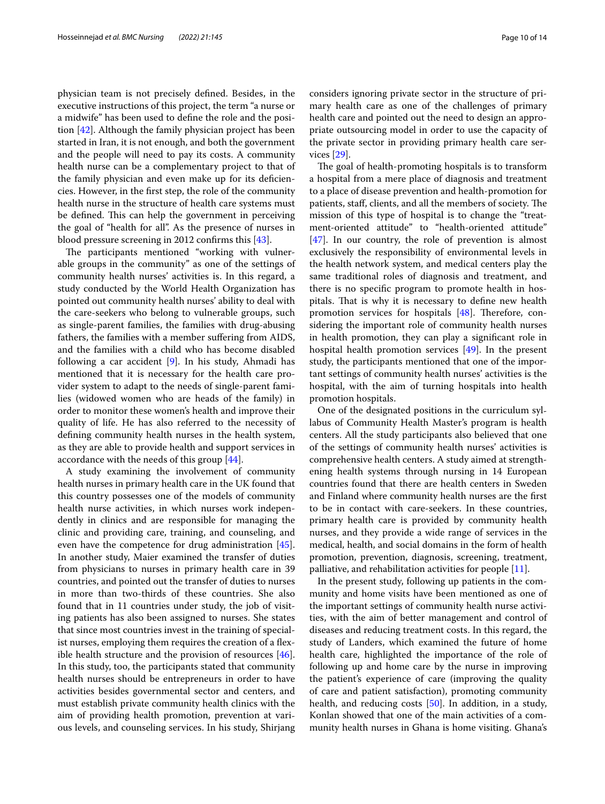physician team is not precisely defned. Besides, in the executive instructions of this project, the term "a nurse or a midwife" has been used to defne the role and the position [[42\]](#page-13-11). Although the family physician project has been started in Iran, it is not enough, and both the government and the people will need to pay its costs. A community health nurse can be a complementary project to that of the family physician and even make up for its defciencies. However, in the frst step, the role of the community health nurse in the structure of health care systems must be defined. This can help the government in perceiving the goal of "health for all". As the presence of nurses in blood pressure screening in 2012 confrms this [\[43](#page-13-12)].

The participants mentioned "working with vulnerable groups in the community" as one of the settings of community health nurses' activities is. In this regard, a study conducted by the World Health Organization has pointed out community health nurses' ability to deal with the care-seekers who belong to vulnerable groups, such as single-parent families, the families with drug-abusing fathers, the families with a member sufering from AIDS, and the families with a child who has become disabled following a car accident [\[9\]](#page-12-7). In his study, Ahmadi has mentioned that it is necessary for the health care provider system to adapt to the needs of single-parent families (widowed women who are heads of the family) in order to monitor these women's health and improve their quality of life. He has also referred to the necessity of defning community health nurses in the health system, as they are able to provide health and support services in accordance with the needs of this group [[44](#page-13-13)].

A study examining the involvement of community health nurses in primary health care in the UK found that this country possesses one of the models of community health nurse activities, in which nurses work independently in clinics and are responsible for managing the clinic and providing care, training, and counseling, and even have the competence for drug administration [\[45](#page-13-14)]. In another study, Maier examined the transfer of duties from physicians to nurses in primary health care in 39 countries, and pointed out the transfer of duties to nurses in more than two-thirds of these countries. She also found that in 11 countries under study, the job of visiting patients has also been assigned to nurses. She states that since most countries invest in the training of specialist nurses, employing them requires the creation of a flexible health structure and the provision of resources [\[46](#page-13-15)]. In this study, too, the participants stated that community health nurses should be entrepreneurs in order to have activities besides governmental sector and centers, and must establish private community health clinics with the aim of providing health promotion, prevention at various levels, and counseling services. In his study, Shirjang considers ignoring private sector in the structure of primary health care as one of the challenges of primary health care and pointed out the need to design an appropriate outsourcing model in order to use the capacity of the private sector in providing primary health care services [\[29](#page-12-26)].

The goal of health-promoting hospitals is to transform a hospital from a mere place of diagnosis and treatment to a place of disease prevention and health-promotion for patients, staff, clients, and all the members of society. The mission of this type of hospital is to change the "treatment-oriented attitude" to "health-oriented attitude" [[47\]](#page-13-16). In our country, the role of prevention is almost exclusively the responsibility of environmental levels in the health network system, and medical centers play the same traditional roles of diagnosis and treatment, and there is no specifc program to promote health in hospitals. That is why it is necessary to define new health promotion services for hospitals  $[48]$  $[48]$ . Therefore, considering the important role of community health nurses in health promotion, they can play a signifcant role in hospital health promotion services [[49\]](#page-13-18). In the present study, the participants mentioned that one of the important settings of community health nurses' activities is the hospital, with the aim of turning hospitals into health promotion hospitals.

One of the designated positions in the curriculum syllabus of Community Health Master's program is health centers. All the study participants also believed that one of the settings of community health nurses' activities is comprehensive health centers. A study aimed at strengthening health systems through nursing in 14 European countries found that there are health centers in Sweden and Finland where community health nurses are the frst to be in contact with care-seekers. In these countries, primary health care is provided by community health nurses, and they provide a wide range of services in the medical, health, and social domains in the form of health promotion, prevention, diagnosis, screening, treatment, palliative, and rehabilitation activities for people [[11](#page-12-8)].

In the present study, following up patients in the community and home visits have been mentioned as one of the important settings of community health nurse activities, with the aim of better management and control of diseases and reducing treatment costs. In this regard, the study of Landers, which examined the future of home health care, highlighted the importance of the role of following up and home care by the nurse in improving the patient's experience of care (improving the quality of care and patient satisfaction), promoting community health, and reducing costs [[50\]](#page-13-19). In addition, in a study, Konlan showed that one of the main activities of a community health nurses in Ghana is home visiting. Ghana's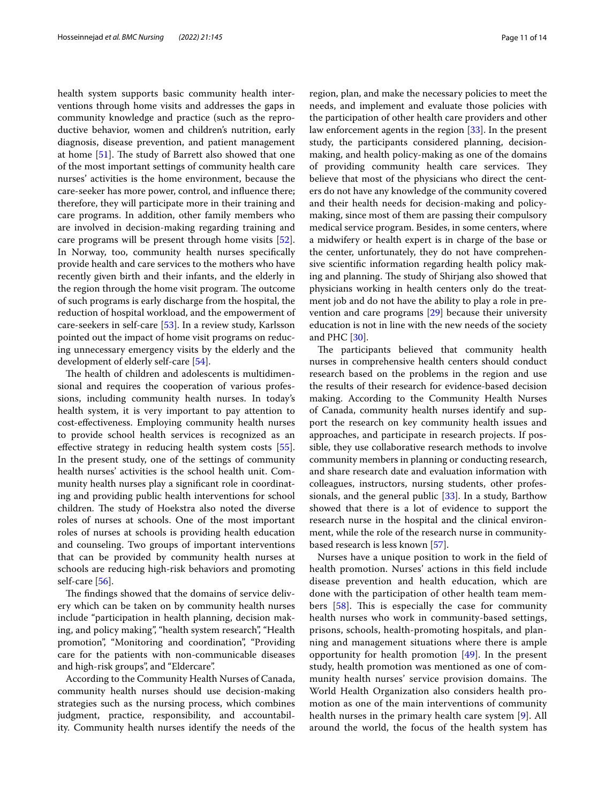health system supports basic community health interventions through home visits and addresses the gaps in community knowledge and practice (such as the reproductive behavior, women and children's nutrition, early diagnosis, disease prevention, and patient management at home  $[51]$ . The study of Barrett also showed that one of the most important settings of community health care nurses' activities is the home environment, because the care-seeker has more power, control, and infuence there; therefore, they will participate more in their training and care programs. In addition, other family members who are involved in decision-making regarding training and care programs will be present through home visits [\[52](#page-13-21)]. In Norway, too, community health nurses specifcally provide health and care services to the mothers who have recently given birth and their infants, and the elderly in the region through the home visit program. The outcome of such programs is early discharge from the hospital, the reduction of hospital workload, and the empowerment of care-seekers in self-care [\[53](#page-13-22)]. In a review study, Karlsson pointed out the impact of home visit programs on reducing unnecessary emergency visits by the elderly and the development of elderly self-care [\[54](#page-13-23)].

The health of children and adolescents is multidimensional and requires the cooperation of various professions, including community health nurses. In today's health system, it is very important to pay attention to cost-efectiveness. Employing community health nurses to provide school health services is recognized as an efective strategy in reducing health system costs [\[55](#page-13-24)]. In the present study, one of the settings of community health nurses' activities is the school health unit. Community health nurses play a signifcant role in coordinating and providing public health interventions for school children. The study of Hoekstra also noted the diverse roles of nurses at schools. One of the most important roles of nurses at schools is providing health education and counseling. Two groups of important interventions that can be provided by community health nurses at schools are reducing high-risk behaviors and promoting self-care [[56\]](#page-13-25).

The findings showed that the domains of service delivery which can be taken on by community health nurses include "participation in health planning, decision making, and policy making", "health system research", "Health promotion", "Monitoring and coordination", "Providing care for the patients with non-communicable diseases and high-risk groups", and "Eldercare".

According to the Community Health Nurses of Canada, community health nurses should use decision-making strategies such as the nursing process, which combines judgment, practice, responsibility, and accountability. Community health nurses identify the needs of the region, plan, and make the necessary policies to meet the needs, and implement and evaluate those policies with the participation of other health care providers and other law enforcement agents in the region [\[33\]](#page-13-2). In the present study, the participants considered planning, decisionmaking, and health policy-making as one of the domains of providing community health care services. They believe that most of the physicians who direct the centers do not have any knowledge of the community covered and their health needs for decision-making and policymaking, since most of them are passing their compulsory medical service program. Besides, in some centers, where a midwifery or health expert is in charge of the base or the center, unfortunately, they do not have comprehensive scientifc information regarding health policy making and planning. The study of Shirjang also showed that physicians working in health centers only do the treatment job and do not have the ability to play a role in prevention and care programs [\[29](#page-12-26)] because their university education is not in line with the new needs of the society and PHC [[30](#page-12-27)].

The participants believed that community health nurses in comprehensive health centers should conduct research based on the problems in the region and use the results of their research for evidence-based decision making. According to the Community Health Nurses of Canada, community health nurses identify and support the research on key community health issues and approaches, and participate in research projects. If possible, they use collaborative research methods to involve community members in planning or conducting research, and share research date and evaluation information with colleagues, instructors, nursing students, other professionals, and the general public [\[33\]](#page-13-2). In a study, Barthow showed that there is a lot of evidence to support the research nurse in the hospital and the clinical environment, while the role of the research nurse in communitybased research is less known [[57\]](#page-13-26).

Nurses have a unique position to work in the feld of health promotion. Nurses' actions in this feld include disease prevention and health education, which are done with the participation of other health team members  $[58]$  $[58]$ . This is especially the case for community health nurses who work in community-based settings, prisons, schools, health-promoting hospitals, and planning and management situations where there is ample opportunity for health promotion [\[49\]](#page-13-18). In the present study, health promotion was mentioned as one of community health nurses' service provision domains. The World Health Organization also considers health promotion as one of the main interventions of community health nurses in the primary health care system [[9\]](#page-12-7). All around the world, the focus of the health system has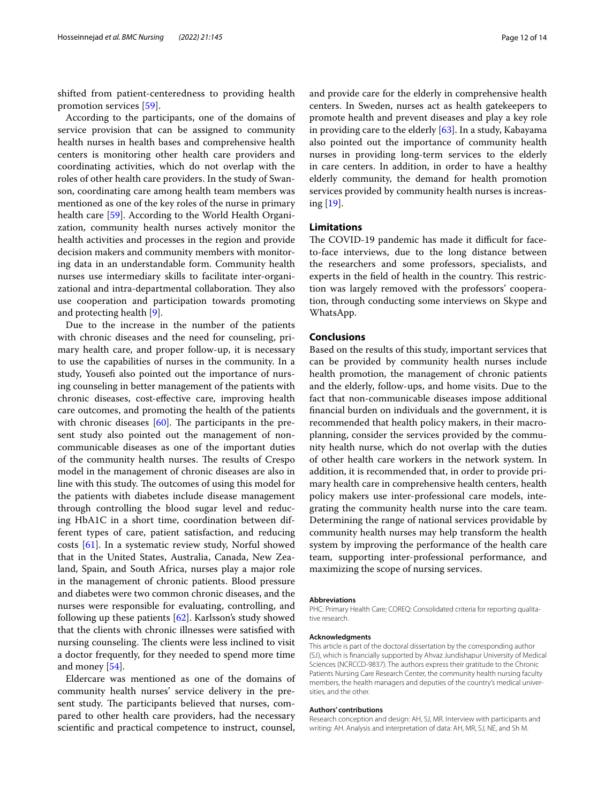shifted from patient-centeredness to providing health promotion services [[59\]](#page-13-28).

According to the participants, one of the domains of service provision that can be assigned to community health nurses in health bases and comprehensive health centers is monitoring other health care providers and coordinating activities, which do not overlap with the roles of other health care providers. In the study of Swanson, coordinating care among health team members was mentioned as one of the key roles of the nurse in primary health care [\[59](#page-13-28)]. According to the World Health Organization, community health nurses actively monitor the health activities and processes in the region and provide decision makers and community members with monitoring data in an understandable form. Community health nurses use intermediary skills to facilitate inter-organizational and intra-departmental collaboration. They also use cooperation and participation towards promoting and protecting health [[9\]](#page-12-7).

Due to the increase in the number of the patients with chronic diseases and the need for counseling, primary health care, and proper follow-up, it is necessary to use the capabilities of nurses in the community. In a study, Yousefi also pointed out the importance of nursing counseling in better management of the patients with chronic diseases, cost-efective care, improving health care outcomes, and promoting the health of the patients with chronic diseases  $[60]$  $[60]$ . The participants in the present study also pointed out the management of noncommunicable diseases as one of the important duties of the community health nurses. The results of Crespo model in the management of chronic diseases are also in line with this study. The outcomes of using this model for the patients with diabetes include disease management through controlling the blood sugar level and reducing HbA1C in a short time, coordination between different types of care, patient satisfaction, and reducing costs [\[61\]](#page-13-30). In a systematic review study, Norful showed that in the United States, Australia, Canada, New Zealand, Spain, and South Africa, nurses play a major role in the management of chronic patients. Blood pressure and diabetes were two common chronic diseases, and the nurses were responsible for evaluating, controlling, and following up these patients [\[62](#page-13-31)]. Karlsson's study showed that the clients with chronic illnesses were satisfed with nursing counseling. The clients were less inclined to visit a doctor frequently, for they needed to spend more time and money [[54](#page-13-23)].

Eldercare was mentioned as one of the domains of community health nurses' service delivery in the present study. The participants believed that nurses, compared to other health care providers, had the necessary scientifc and practical competence to instruct, counsel, and provide care for the elderly in comprehensive health centers. In Sweden, nurses act as health gatekeepers to promote health and prevent diseases and play a key role in providing care to the elderly [[63\]](#page-13-32). In a study, Kabayama also pointed out the importance of community health nurses in providing long-term services to the elderly in care centers. In addition, in order to have a healthy elderly community, the demand for health promotion services provided by community health nurses is increasing [\[19\]](#page-12-16).

### **Limitations**

The COVID-19 pandemic has made it difficult for faceto-face interviews, due to the long distance between the researchers and some professors, specialists, and experts in the field of health in the country. This restriction was largely removed with the professors' cooperation, through conducting some interviews on Skype and WhatsApp.

### **Conclusions**

Based on the results of this study, important services that can be provided by community health nurses include health promotion, the management of chronic patients and the elderly, follow-ups, and home visits. Due to the fact that non-communicable diseases impose additional fnancial burden on individuals and the government, it is recommended that health policy makers, in their macroplanning, consider the services provided by the community health nurse, which do not overlap with the duties of other health care workers in the network system. In addition, it is recommended that, in order to provide primary health care in comprehensive health centers, health policy makers use inter-professional care models, integrating the community health nurse into the care team. Determining the range of national services providable by community health nurses may help transform the health system by improving the performance of the health care team, supporting inter-professional performance, and maximizing the scope of nursing services.

#### **Abbreviations**

PHC: Primary Health Care; COREQ: Consolidated criteria for reporting qualitative research.

#### **Acknowledgments**

This article is part of the doctoral dissertation by the corresponding author (SJ), which is fnancially supported by Ahvaz Jundishapur University of Medical Sciences (NCRCCD-9837). The authors express their gratitude to the Chronic Patients Nursing Care Research Center, the community health nursing faculty members, the health managers and deputies of the country's medical universities, and the other.

#### **Authors' contributions**

Research conception and design: AH, SJ, MR. Interview with participants and writing: AH. Analysis and interpretation of data: AH, MR, SJ, NE, and Sh M.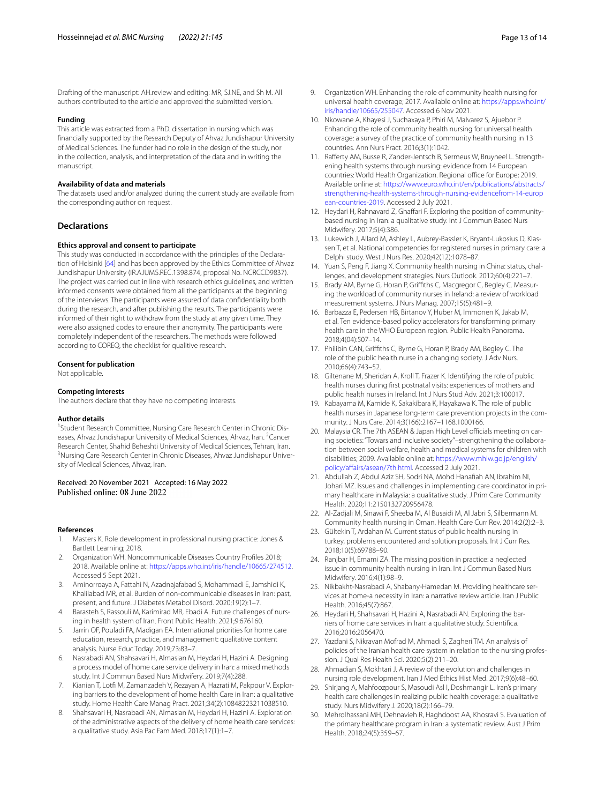Drafting of the manuscript: AH.review and editing: MR, SJ.NE, and Sh M. All authors contributed to the article and approved the submitted version.

#### **Funding**

This article was extracted from a PhD. dissertation in nursing which was fnancially supported by the Research Deputy of Ahvaz Jundishapur University of Medical Sciences. The funder had no role in the design of the study, nor in the collection, analysis, and interpretation of the data and in writing the manuscript.

#### **Availability of data and materials**

The datasets used and/or analyzed during the current study are available from the corresponding author on request.

#### **Declarations**

#### **Ethics approval and consent to participate**

This study was conducted in accordance with the principles of the Declaration of Helsinki [[64](#page-13-33)] and has been approved by the Ethics Committee of Ahvaz Jundishapur University (IR.AJUMS.REC.1398.874, proposal No. NCRCCD9837). The project was carried out in line with research ethics guidelines, and written informed consents were obtained from all the participants at the beginning of the interviews. The participants were assured of data confdentiality both during the research, and after publishing the results. The participants were informed of their right to withdraw from the study at any given time. They were also assigned codes to ensure their anonymity. The participants were completely independent of the researchers. The methods were followed according to COREQ, the checklist for qualitive research.

#### **Consent for publication**

Not applicable.

#### **Competing interests**

The authors declare that they have no competing interests.

#### **Author details**

<sup>1</sup> Student Research Committee, Nursing Care Research Center in Chronic Diseases, Ahvaz Jundishapur University of Medical Sciences, Ahvaz, Iran. <sup>2</sup>Cancer Research Center, Shahid Beheshti University of Medical Sciences, Tehran, Iran. 3 <sup>3</sup>Nursing Care Research Center in Chronic Diseases, Ahvaz Jundishapur University of Medical Sciences, Ahvaz, Iran.

#### Received: 20 November 2021 Accepted: 16 May 2022 Published online: 08 June 2022

#### **References**

- <span id="page-12-0"></span>1. Masters K. Role development in professional nursing practice: Jones & Bartlett Learning; 2018.
- 2. Organization WH. Noncommunicable Diseases Country Profles 2018; 2018. Available online at:<https://apps.who.int/iris/handle/10665/274512>. Accessed 5 Sept 2021.
- <span id="page-12-1"></span>3. Aminorroaya A, Fattahi N, Azadnajafabad S, Mohammadi E, Jamshidi K, Khalilabad MR, et al. Burden of non-communicable diseases in Iran: past, present, and future. J Diabetes Metabol Disord. 2020;19(2):1–7.
- <span id="page-12-2"></span>4. Barasteh S, Rassouli M, Karimirad MR, Ebadi A. Future challenges of nursing in health system of Iran. Front Public Health. 2021;9:676160.
- <span id="page-12-3"></span>5. Jarrín OF, Pouladi FA, Madigan EA. International priorities for home care education, research, practice, and management: qualitative content analysis. Nurse Educ Today. 2019;73:83–7.
- <span id="page-12-4"></span>6. Nasrabadi AN, Shahsavari H, Almasian M, Heydari H, Hazini A. Designing a process model of home care service delivery in Iran: a mixed methods study. Int J Commun Based Nurs Midwifery. 2019;7(4):288.
- <span id="page-12-5"></span>Kianian T, Lotfi M, Zamanzadeh V, Rezayan A, Hazrati M, Pakpour V. Exploring barriers to the development of home health Care in Iran: a qualitative study. Home Health Care Manag Pract. 2021;34(2):10848223211038510.
- <span id="page-12-6"></span>8. Shahsavari H, Nasrabadi AN, Almasian M, Heydari H, Hazini A. Exploration of the administrative aspects of the delivery of home health care services: a qualitative study. Asia Pac Fam Med. 2018;17(1):1–7.
- <span id="page-12-7"></span>9. Organization WH. Enhancing the role of community health nursing for universal health coverage; 2017. Available online at: [https://apps.who.int/](https://apps.who.int/iris/handle/10665/255047) [iris/handle/10665/255047.](https://apps.who.int/iris/handle/10665/255047) Accessed 6 Nov 2021.
- 10. Nkowane A, Khayesi J, Suchaxaya P, Phiri M, Malvarez S, Ajuebor P. Enhancing the role of community health nursing for universal health coverage: a survey of the practice of community health nursing in 13 countries. Ann Nurs Pract. 2016;3(1):1042.
- <span id="page-12-8"></span>11. Raferty AM, Busse R, Zander-Jentsch B, Sermeus W, Bruyneel L. Strengthening health systems through nursing: evidence from 14 European countries: World Health Organization. Regional office for Europe; 2019. Available online at: [https://www.euro.who.int/en/publications/abstracts/](https://www.euro.who.int/en/publications/abstracts/strengthening-health-systems-through-nursing-evidencefrom-14-european-countries-2019) [strengthening-health-systems-through-nursing-evidencefrom-14-europ](https://www.euro.who.int/en/publications/abstracts/strengthening-health-systems-through-nursing-evidencefrom-14-european-countries-2019) [ean-countries-2019.](https://www.euro.who.int/en/publications/abstracts/strengthening-health-systems-through-nursing-evidencefrom-14-european-countries-2019) Accessed 2 July 2021.
- <span id="page-12-9"></span>12. Heydari H, Rahnavard Z, Ghaffari F. Exploring the position of communitybased nursing in Iran: a qualitative study. Int J Commun Based Nurs Midwifery. 2017;5(4):386.
- <span id="page-12-10"></span>13. Lukewich J, Allard M, Ashley L, Aubrey-Bassler K, Bryant-Lukosius D, Klassen T, et al. National competencies for registered nurses in primary care: a Delphi study. West J Nurs Res. 2020;42(12):1078–87.
- <span id="page-12-11"></span>14. Yuan S, Peng F, Jiang X. Community health nursing in China: status, challenges, and development strategies. Nurs Outlook. 2012;60(4):221–7.
- <span id="page-12-12"></span>15. Brady AM, Byrne G, Horan P, Grifths C, Macgregor C, Begley C. Measuring the workload of community nurses in Ireland: a review of workload measurement systems. J Nurs Manag. 2007;15(5):481–9.
- <span id="page-12-13"></span>16. Barbazza E, Pedersen HB, Birtanov Y, Huber M, Immonen K, Jakab M, et al. Ten evidence-based policy accelerators for transforming primary health care in the WHO European region. Public Health Panorama. 2018;4(04):507–14.
- <span id="page-12-14"></span>17. Philibin CAN, Grifths C, Byrne G, Horan P, Brady AM, Begley C. The role of the public health nurse in a changing society. J Adv Nurs. 2010;66(4):743–52.
- <span id="page-12-15"></span>18. Giltenane M, Sheridan A, Kroll T, Frazer K. Identifying the role of public health nurses during frst postnatal visits: experiences of mothers and public health nurses in Ireland. Int J Nurs Stud Adv. 2021;3:100017.
- <span id="page-12-16"></span>19. Kabayama M, Kamide K, Sakakibara K, Hayakawa K. The role of public health nurses in Japanese long-term care prevention projects in the community. J Nurs Care. 2014;3(166):2167–1168.1000166.
- <span id="page-12-17"></span>20. Malaysia CR. The 7th ASEAN & Japan High Level officials meeting on caring societies: "Towars and inclusive society"–strengthening the collaboration between social welfare, health and medical systems for children with disabilities; 2009. Available online at: [https://www.mhlw.go.jp/english/](https://www.mhlw.go.jp/english/policy/affairs/asean/7th.html) [policy/afairs/asean/7th.html.](https://www.mhlw.go.jp/english/policy/affairs/asean/7th.html) Accessed 2 July 2021.
- <span id="page-12-18"></span>21. Abdullah Z, Abdul Aziz SH, Sodri NA, Mohd Hanafah AN, Ibrahim NI, Johari MZ. Issues and challenges in implementing care coordinator in primary healthcare in Malaysia: a qualitative study. J Prim Care Community Health. 2020;11:2150132720956478.
- <span id="page-12-19"></span>22. Al-Zadjali M, Sinawi F, Sheeba M, Al Busaidi M, Al Jabri S, Silbermann M. Community health nursing in Oman. Health Care Curr Rev. 2014;2(2):2–3.
- <span id="page-12-20"></span>23. Gültekin T, Ardahan M. Current status of public health nursing in turkey, problems encountered and solution proposals. Int J Curr Res. 2018;10(5):69788–90.
- <span id="page-12-21"></span>24. Ranjbar H, Emami ZA. The missing position in practice: a neglected issue in community health nursing in Iran. Int J Commun Based Nurs Midwifery. 2016;4(1):98–9.
- <span id="page-12-22"></span>25. Nikbakht-Nasrabadi A, Shabany-Hamedan M. Providing healthcare services at home-a necessity in Iran: a narrative review article. Iran J Public Health. 2016;45(7):867.
- <span id="page-12-23"></span>26. Heydari H, Shahsavari H, Hazini A, Nasrabadi AN. Exploring the barriers of home care services in Iran: a qualitative study. Scientifca. 2016;2016:2056470.
- <span id="page-12-24"></span>27. Yazdani S, Nikravan Mofrad M, Ahmadi S, Zagheri TM. An analysis of policies of the Iranian health care system in relation to the nursing profession. J Qual Res Health Sci. 2020;5(2):211–20.
- <span id="page-12-25"></span>28. Ahmadian S, Mokhtari J. A review of the evolution and challenges in nursing role development. Iran J Med Ethics Hist Med. 2017;9(6):48–60.
- <span id="page-12-26"></span>29. Shirjang A, Mahfoozpour S, Masoudi Asl I, Doshmangir L. Iran's primary health care challenges in realizing public health coverage: a qualitative study. Nurs Midwifery J. 2020;18(2):166–79.
- <span id="page-12-27"></span>30. Mehrolhassani MH, Dehnavieh R, Haghdoost AA, Khosravi S. Evaluation of the primary healthcare program in Iran: a systematic review. Aust J Prim Health. 2018;24(5):359–67.